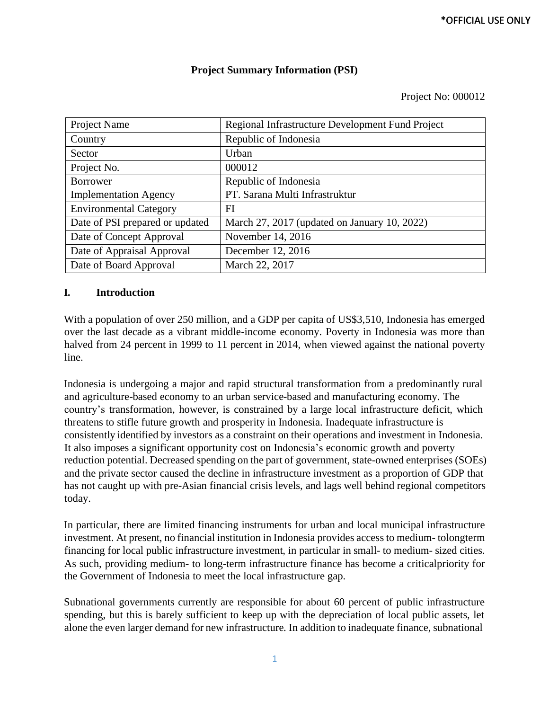## **Project Summary Information (PSI)**

#### Project No: 000012

| Project Name                    | Regional Infrastructure Development Fund Project |  |  |
|---------------------------------|--------------------------------------------------|--|--|
| Country                         | Republic of Indonesia                            |  |  |
| Sector                          | Urban                                            |  |  |
| Project No.                     | 000012                                           |  |  |
| <b>Borrower</b>                 | Republic of Indonesia                            |  |  |
| <b>Implementation Agency</b>    | PT. Sarana Multi Infrastruktur                   |  |  |
| <b>Environmental Category</b>   | FI                                               |  |  |
| Date of PSI prepared or updated | March 27, 2017 (updated on January 10, 2022)     |  |  |
| Date of Concept Approval        | November 14, 2016                                |  |  |
| Date of Appraisal Approval      | December 12, 2016                                |  |  |
| Date of Board Approval          | March 22, 2017                                   |  |  |

## **I. Introduction**

With a population of over 250 million, and a GDP per capita of US\$3,510, Indonesia has emerged over the last decade as a vibrant middle-income economy. Poverty in Indonesia was more than halved from 24 percent in 1999 to 11 percent in 2014, when viewed against the national poverty line.

Indonesia is undergoing a major and rapid structural transformation from a predominantly rural and agriculture-based economy to an urban service-based and manufacturing economy. The country's transformation, however, is constrained by a large local infrastructure deficit, which threatens to stifle future growth and prosperity in Indonesia. Inadequate infrastructure is consistently identified by investors as a constraint on their operations and investment in Indonesia. It also imposes a significant opportunity cost on Indonesia's economic growth and poverty reduction potential. Decreased spending on the part of government, state-owned enterprises (SOEs) and the private sector caused the decline in infrastructure investment as a proportion of GDP that has not caught up with pre-Asian financial crisis levels, and lags well behind regional competitors today.

In particular, there are limited financing instruments for urban and local municipal infrastructure investment. At present, no financial institution in Indonesia provides accessto medium- tolongterm financing for local public infrastructure investment, in particular in small- to medium- sized cities. As such, providing medium- to long-term infrastructure finance has become a criticalpriority for the Government of Indonesia to meet the local infrastructure gap.

Subnational governments currently are responsible for about 60 percent of public infrastructure spending, but this is barely sufficient to keep up with the depreciation of local public assets, let alone the even larger demand for new infrastructure. In addition to inadequate finance, subnational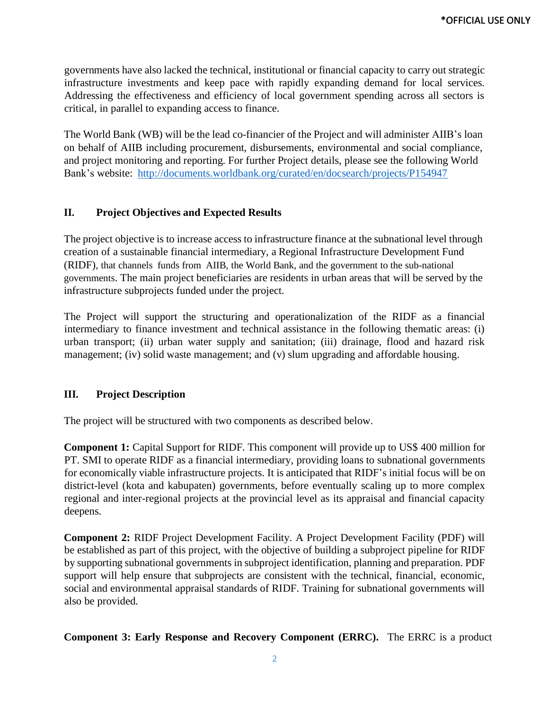governments have also lacked the technical, institutional or financial capacity to carry out strategic infrastructure investments and keep pace with rapidly expanding demand for local services. Addressing the effectiveness and efficiency of local government spending across all sectors is critical, in parallel to expanding access to finance.

The World Bank (WB) will be the lead co-financier of the Project and will administer AIIB's loan on behalf of AIIB including procurement, disbursements, environmental and social compliance, and project monitoring and reporting. For further Project details, please see the following World Bank's website: <http://documents.worldbank.org/curated/en/docsearch/projects/P154947>

## **II. Project Objectives and Expected Results**

The project objective is to increase access to infrastructure finance at the subnational level through creation of a sustainable financial intermediary, a Regional Infrastructure Development Fund (RIDF), that channels funds from AIIB, the World Bank, and the government to the sub-national governments. The main project beneficiaries are residents in urban areas that will be served by the infrastructure subprojects funded under the project.

The Project will support the structuring and operationalization of the RIDF as a financial intermediary to finance investment and technical assistance in the following thematic areas: (i) urban transport; (ii) urban water supply and sanitation; (iii) drainage, flood and hazard risk management; (iv) solid waste management; and (v) slum upgrading and affordable housing.

## **III. Project Description**

The project will be structured with two components as described below.

**Component 1:** Capital Support for RIDF. This component will provide up to US\$ 400 million for PT. SMI to operate RIDF as a financial intermediary, providing loans to subnational governments for economically viable infrastructure projects. It is anticipated that RIDF's initial focus will be on district-level (kota and kabupaten) governments, before eventually scaling up to more complex regional and inter-regional projects at the provincial level as its appraisal and financial capacity deepens.

**Component 2:** RIDF Project Development Facility. A Project Development Facility (PDF) will be established as part of this project, with the objective of building a subproject pipeline for RIDF by supporting subnational governments in subproject identification, planning and preparation. PDF support will help ensure that subprojects are consistent with the technical, financial, economic, social and environmental appraisal standards of RIDF. Training for subnational governments will also be provided.

**Component 3: Early Response and Recovery Component (ERRC).** The ERRC is a product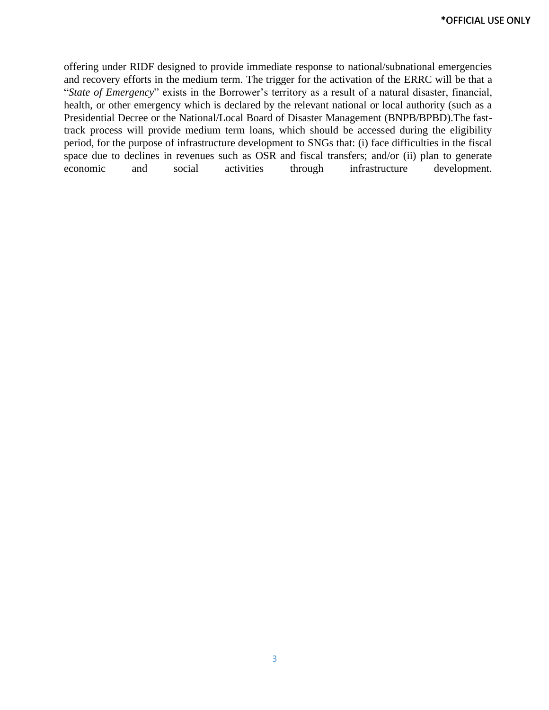offering under RIDF designed to provide immediate response to national/subnational emergencies and recovery efforts in the medium term. The trigger for the activation of the ERRC will be that a "*State of Emergency*" exists in the Borrower's territory as a result of a natural disaster, financial, health, or other emergency which is declared by the relevant national or local authority (such as a Presidential Decree or the National/Local Board of Disaster Management (BNPB/BPBD).The fasttrack process will provide medium term loans, which should be accessed during the eligibility period, for the purpose of infrastructure development to SNGs that: (i) face difficulties in the fiscal space due to declines in revenues such as OSR and fiscal transfers; and/or (ii) plan to generate economic and social activities through infrastructure development.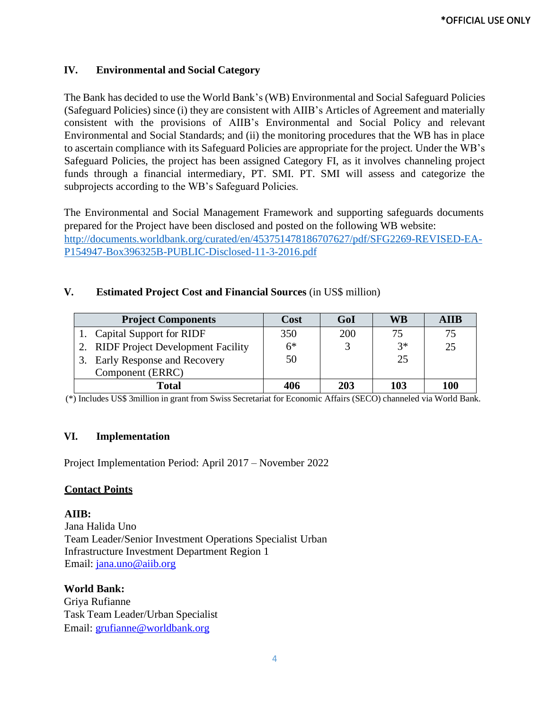## **IV. Environmental and Social Category**

The Bank has decided to use the World Bank's(WB) Environmental and Social Safeguard Policies (Safeguard Policies) since (i) they are consistent with AIIB's Articles of Agreement and materially consistent with the provisions of AIIB's Environmental and Social Policy and relevant Environmental and Social Standards; and (ii) the monitoring procedures that the WB has in place to ascertain compliance with its Safeguard Policies are appropriate for the project. Under the WB's Safeguard Policies, the project has been assigned Category FI, as it involves channeling project funds through a financial intermediary, PT. SMI. PT. SMI will assess and categorize the subprojects according to the WB's Safeguard Policies.

The Environmental and Social Management Framework and supporting safeguards documents prepared for the Project have been disclosed and posted on the following WB website: [http://documents.worldbank.org/curated/en/453751478186707627/pdf/SFG2269-REVISED-EA-](http://documents.worldbank.org/curated/en/453751478186707627/pdf/SFG2269-REVISED-EA-P154947-Box396325B-PUBLIC-Disclosed-11-3-2016.pdf)[P154947-Box396325B-PUBLIC-Disclosed-11-3-2016.pdf](http://documents.worldbank.org/curated/en/453751478186707627/pdf/SFG2269-REVISED-EA-P154947-Box396325B-PUBLIC-Disclosed-11-3-2016.pdf)

## **V. Estimated Project Cost and Financial Sources** (in US\$ million)

| <b>Project Components</b>                | Cost | GoI | WB   | AIIB |
|------------------------------------------|------|-----|------|------|
| 1. Capital Support for RIDF              | 350  | 200 | 75   | 75   |
| 2. RIDF Project Development Facility     | $6*$ |     | $2*$ | 25   |
| <b>Early Response and Recovery</b><br>3. | 50   |     | 25   |      |
| Component (ERRC)                         |      |     |      |      |
| Total                                    | 406  | 203 | 103  | 100  |

(\*) Includes US\$ 3million in grant from Swiss Secretariat for Economic Affairs (SECO) channeled via World Bank.

## **VI. Implementation**

Project Implementation Period: April 2017 – November 2022

## **Contact Points**

**AIIB:** Jana Halida Uno Team Leader/Senior Investment Operations Specialist Urban Infrastructure Investment Department Region 1 Email: [jana.uno@aiib.org](mailto:jana.uno@aiib.org)

**World Bank:** Griya Rufianne Task Team Leader/Urban Specialist Email: [grufianne@worldbank.org](mailto:grufianne@worldbank.org)